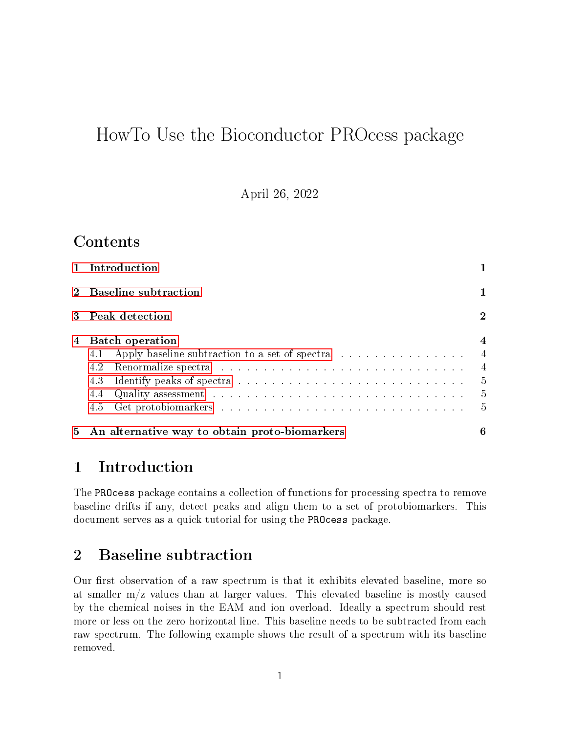# HowTo Use the Bioconductor PROcess package

April 26, 2022

# Contents

| 1 Introduction                                                                                                                                                                                                                                                                                                               |                                                          |
|------------------------------------------------------------------------------------------------------------------------------------------------------------------------------------------------------------------------------------------------------------------------------------------------------------------------------|----------------------------------------------------------|
| 2 Baseline subtraction                                                                                                                                                                                                                                                                                                       |                                                          |
| 3 Peak detection                                                                                                                                                                                                                                                                                                             | $\overline{2}$                                           |
| 4 Batch operation<br>Apply baseline subtraction to a set of spectra 4<br>4.1<br>Renormalize spectra resources in the set of the set of the set of the set of the set of the set of the set of the set of the set of the set of the set of the set of the set of the set of the set of the set of the set of th<br>4.2<br>4.5 | $\overline{\mathbf{4}}$<br>$\sim$ 4<br>- 5<br>- 5<br>- 5 |
| 5 An alternative way to obtain proto-biomarkers                                                                                                                                                                                                                                                                              | 6                                                        |

# <span id="page-0-0"></span>1 Introduction

The PROcess package contains a collection of functions for processing spectra to remove baseline drifts if any, detect peaks and align them to a set of protobiomarkers. This document serves as a quick tutorial for using the PROcess package.

### <span id="page-0-1"></span>2 Baseline subtraction

Our first observation of a raw spectrum is that it exhibits elevated baseline, more so at smaller m/z values than at larger values. This elevated baseline is mostly caused by the chemical noises in the EAM and ion overload. Ideally a spectrum should rest more or less on the zero horizontal line. This baseline needs to be subtracted from each raw spectrum. The following example shows the result of a spectrum with its baseline removed.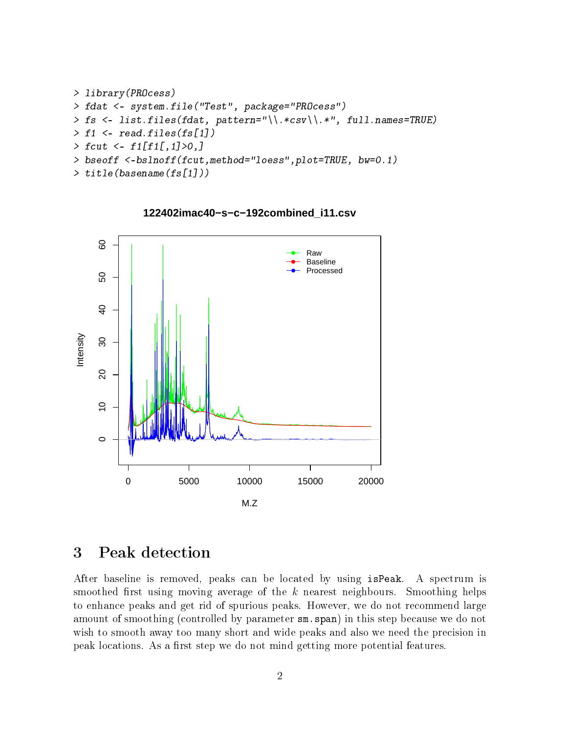```
> library(PROcess)
> fdat <- system.file("Test", package="PROcess")
> fs <- list.files(fdat, pattern="\\.*csv\\.*", full.names=TRUE)
> f1 \leq read.files(fs[1])
> fcut \leq f1[f1[, 1]>0,]
> bseoff <-bslnoff(fcut,method="loess",plot=TRUE, bw=0.1)
> title(basename(fs[1]))
```
8 10 20 30 40 50 60 Raw Baseline Processed SO.  $\overline{Q}$ Intensity  $80$  $\overline{c}$  $\overline{C}$  $\circ$ 0 5000 10000 15000 20000 M.Z

**122402imac40−s−c−192combined\_i11.csv**

# <span id="page-1-0"></span>3 Peak detection

After baseline is removed, peaks can be located by using isPeak. A spectrum is smoothed first using moving average of the  $k$  nearest neighbours. Smoothing helps to enhance peaks and get rid of spurious peaks. However, we do not recommend large amount of smoothing (controlled by parameter sm.span) in this step because we do not wish to smooth away too many short and wide peaks and also we need the precision in peak locations. As a first step we do not mind getting more potential features.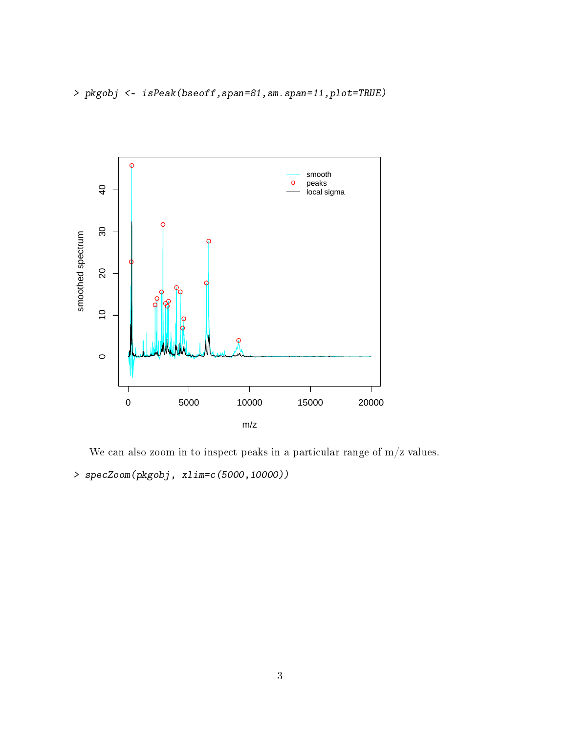

We can also zoom in to inspect peaks in a particular range of  $m/z$  values. > specZoom(pkgobj, xlim=c(5000,10000))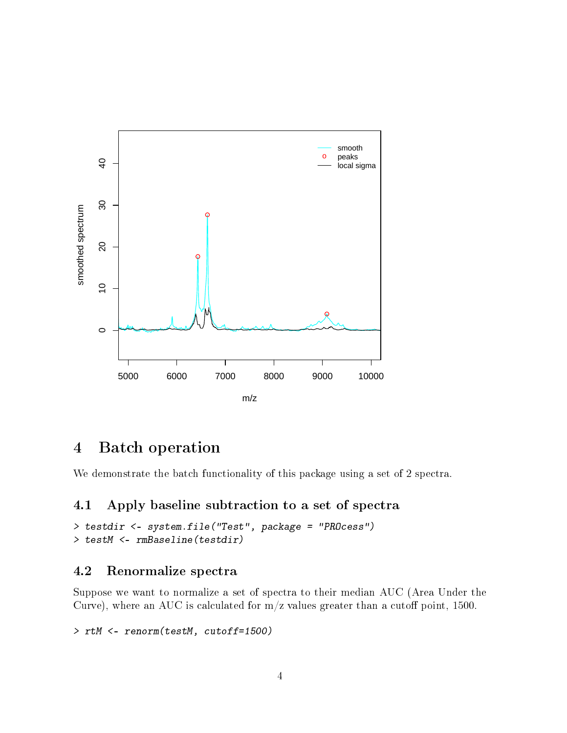

### <span id="page-3-0"></span>4 Batch operation

We demonstrate the batch functionality of this package using a set of 2 spectra.

### <span id="page-3-1"></span>4.1 Apply baseline subtraction to a set of spectra

```
> testdir <- system.file("Test", package = "PROcess")
> testM <- rmBaseline(testdir)
```
### <span id="page-3-2"></span>4.2 Renormalize spectra

Suppose we want to normalize a set of spectra to their median AUC (Area Under the Curve), where an AUC is calculated for  $m/z$  values greater than a cutoff point, 1500.

```
> rtM <- renorm(testM, cutoff=1500)
```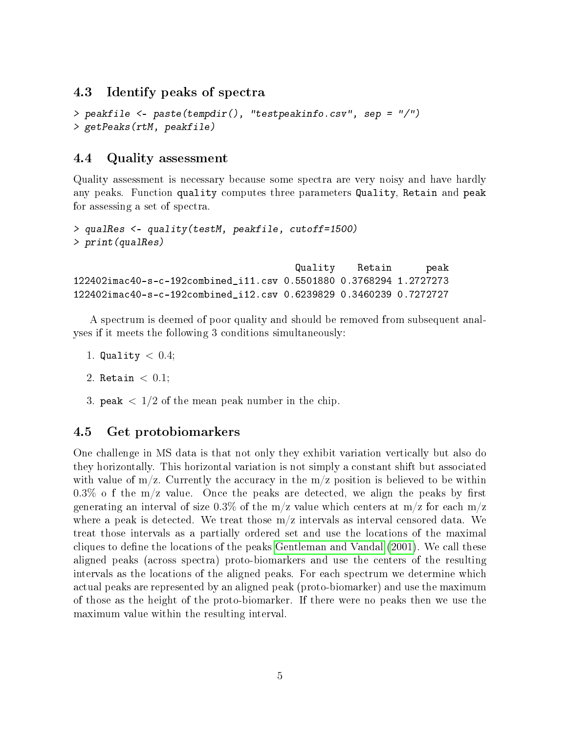### <span id="page-4-0"></span>4.3 Identify peaks of spectra

```
> peakfile <- paste(tempdir(), "testpeakinfo.csv", sep = "/")
> getPeaks(rtM, peakfile)
```
### <span id="page-4-1"></span>4.4 Quality assessment

Quality assessment is necessary because some spectra are very noisy and have hardly any peaks. Function quality computes three parameters Quality, Retain and peak for assessing a set of spectra.

```
> qualRes <- quality(testM, peakfile, cutoff=1500)
> print(qualRes)
                                      Quality Retain peak
122402imac40-s-c-192combined_i11.csv 0.5501880 0.3768294 1.2727273
122402imac40-s-c-192combined_i12.csv 0.6239829 0.3460239 0.7272727
```
A spectrum is deemed of poor quality and should be removed from subsequent analyses if it meets the following 3 conditions simultaneously:

1. Quality  $< 0.4$ ;

```
2. Retain < 0.1:
```
3. peak  $\langle 1/2$  of the mean peak number in the chip.

### <span id="page-4-2"></span>4.5 Get protobiomarkers

One challenge in MS data is that not only they exhibit variation vertically but also do they horizontally. This horizontal variation is not simply a constant shift but associated with value of  $m/z$ . Currently the accuracy in the  $m/z$  position is believed to be within  $0.3\%$  o f the m/z value. Once the peaks are detected, we align the peaks by first generating an interval of size 0.3% of the  $m/z$  value which centers at  $m/z$  for each  $m/z$ where a peak is detected. We treat those  $m/z$  intervals as interval censored data. We treat those intervals as a partially ordered set and use the locations of the maximal cliques to define the locations of the peaks [Gentleman and Vandal](#page-8-0) [\(2001\)](#page-8-0). We call these aligned peaks (across spectra) proto-biomarkers and use the centers of the resulting intervals as the locations of the aligned peaks. For each spectrum we determine which actual peaks are represented by an aligned peak (proto-biomarker) and use the maximum of those as the height of the proto-biomarker. If there were no peaks then we use the maximum value within the resulting interval.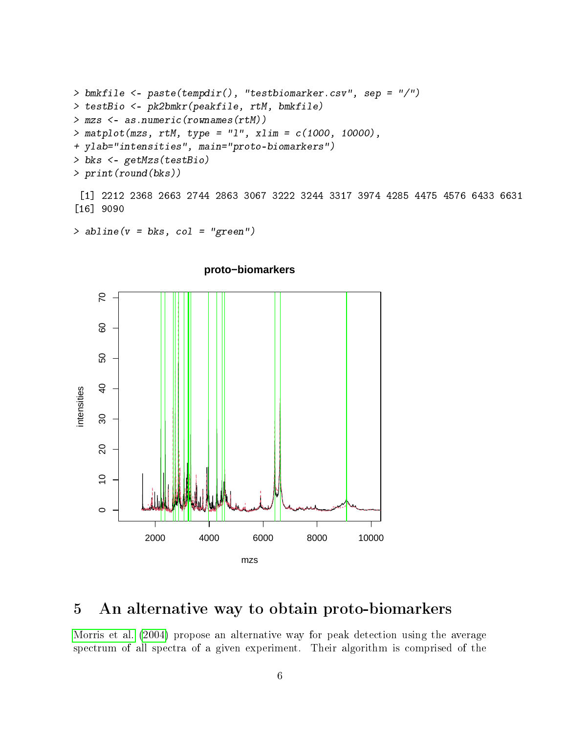```
> bmkfile <- paste(tempdir(), "testbiomarker.csv", sep = "/")
> testBio <- pk2bmkr(peakfile, rtM, bmkfile)
> mzs <- as.numeric(rownames(rtM))
> matplot(mzs, rtM, type = "l", xlim = c(1000, 10000),
+ ylab="intensities", main="proto-biomarkers")
> bks <- getMzs(testBio)
> print(round(bks))
```
[1] 2212 2368 2663 2744 2863 3067 3222 3244 3317 3974 4285 4475 4576 6433 6631 [16] 9090

 $>$  abline( $v = bks$ , col = "green")



#### **proto−biomarkers**

# <span id="page-5-0"></span>5 An alternative way to obtain proto-biomarkers

[Morris et al.](#page-8-1) [\(2004\)](#page-8-1) propose an alternative way for peak detection using the average spectrum of all spectra of a given experiment. Their algorithm is comprised of the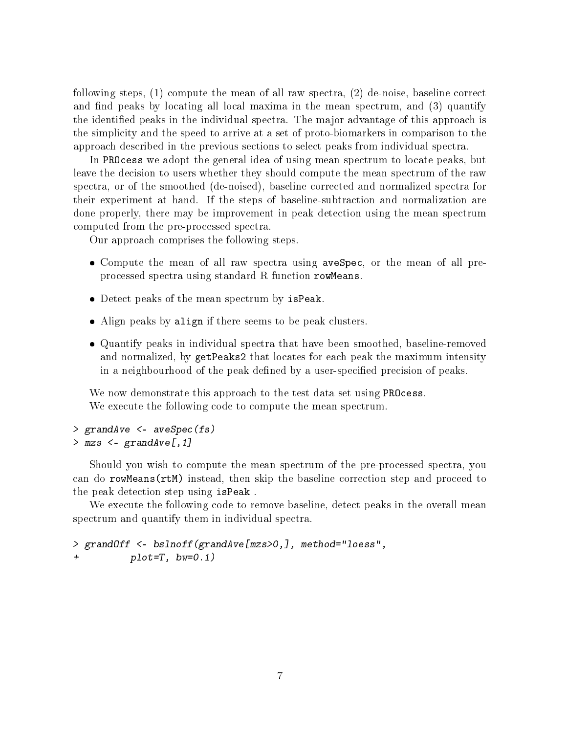following steps, (1) compute the mean of all raw spectra, (2) de-noise, baseline correct and find peaks by locating all local maxima in the mean spectrum, and (3) quantify the identified peaks in the individual spectra. The major advantage of this approach is the simplicity and the speed to arrive at a set of proto-biomarkers in comparison to the approach described in the previous sections to select peaks from individual spectra.

In PROcess we adopt the general idea of using mean spectrum to locate peaks, but leave the decision to users whether they should compute the mean spectrum of the raw spectra, or of the smoothed (de-noised), baseline corrected and normalized spectra for their experiment at hand. If the steps of baseline-subtraction and normalization are done properly, there may be improvement in peak detection using the mean spectrum computed from the pre-processed spectra.

Our approach comprises the following steps.

- Compute the mean of all raw spectra using aveSpec, or the mean of all preprocessed spectra using standard R function rowMeans.
- Detect peaks of the mean spectrum by isPeak.
- Align peaks by align if there seems to be peak clusters.
- Quantify peaks in individual spectra that have been smoothed, baseline-removed and normalized, by getPeaks2 that locates for each peak the maximum intensity in a neighbourhood of the peak defined by a user-specified precision of peaks.

We now demonstrate this approach to the test data set using **PROCESS**. We execute the following code to compute the mean spectrum.

```
> grandAve <- aveSpec(fs)
> mzs \leq grandAve[, 1]
```
Should you wish to compute the mean spectrum of the pre-processed spectra, you can do rowMeans(rtM) instead, then skip the baseline correction step and proceed to the peak detection step using isPeak .

We execute the following code to remove baseline, detect peaks in the overall mean spectrum and quantify them in individual spectra.

```
> grandOff <- bslnoff(grandAve[mzs>0,], method="loess",
          plet=T, bw=0.1)
```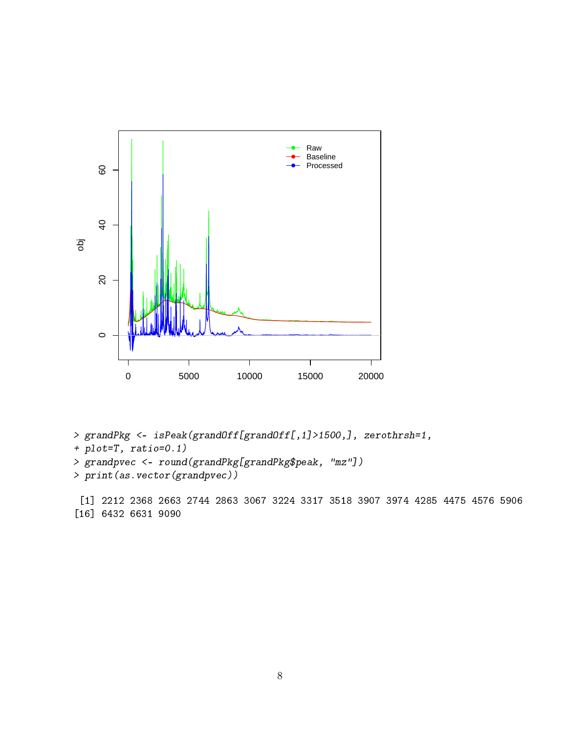

- > grandPkg <- isPeak(grandOff[grandOff[,1]>1500,], zerothrsh=1,
- + plot=T, ratio=0.1)
- > grandpvec <- round(grandPkg[grandPkg\$peak, "mz"])
- > print(as.vector(grandpvec))

[1] 2212 2368 2663 2744 2863 3067 3224 3317 3518 3907 3974 4285 4475 4576 5906 [16] 6432 6631 9090